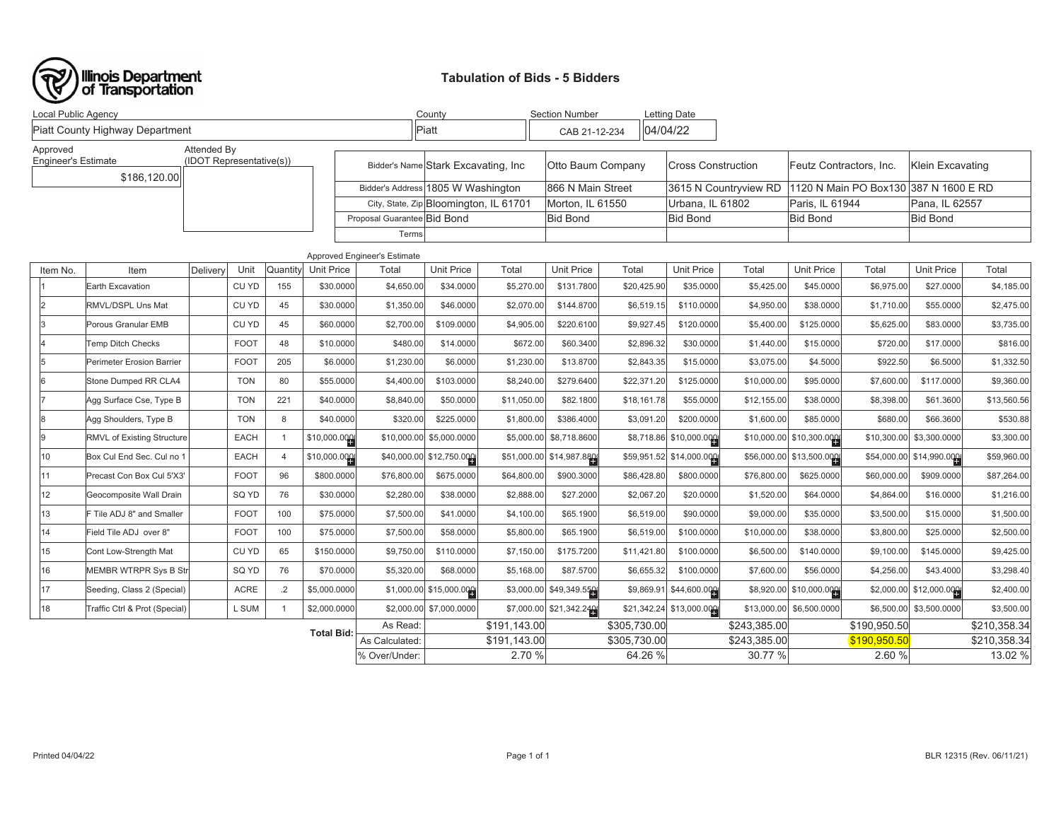

## **Tabulation of Bids - 5 Bidders**

| Local Public Agency                                                    |                                   |             |             |                | County            |                                        | <b>Section Number</b>               |                  | <b>Letting Date</b>      |                  |                           |                 |                           |                |                          |              |
|------------------------------------------------------------------------|-----------------------------------|-------------|-------------|----------------|-------------------|----------------------------------------|-------------------------------------|------------------|--------------------------|------------------|---------------------------|-----------------|---------------------------|----------------|--------------------------|--------------|
|                                                                        | Piatt County Highway Department   |             |             |                |                   |                                        | Piatt                               |                  | CAB 21-12-234            |                  | 04/04/22                  |                 |                           |                |                          |              |
| Approved                                                               |                                   | Attended By |             |                |                   |                                        |                                     |                  |                          |                  |                           |                 |                           |                |                          |              |
| <b>Engineer's Estimate</b><br>(IDOT Representative(s))<br>\$186,120.00 |                                   |             |             |                |                   |                                        | Bidder's Name Stark Excavating, Inc |                  | Otto Baum Company        |                  | <b>Cross Construction</b> |                 | Feutz Contractors, Inc.   |                | Klein Excavating         |              |
|                                                                        |                                   |             |             |                |                   |                                        | Bidder's Address 1805 W Washington  |                  | 866 N Main Street        |                  | 3615 N Countryview RD     |                 | 1120 N Main PO Box130     |                | 387 N 1600 E RD          |              |
|                                                                        |                                   |             |             |                |                   | City, State, Zip Bloomington, IL 61701 |                                     | Morton, IL 61550 |                          | Urbana, IL 61802 |                           | Paris. IL 61944 |                           | Pana, IL 62557 |                          |              |
|                                                                        |                                   |             |             |                |                   | Proposal Guarantee Bid Bond            |                                     |                  | Bid Bond                 |                  | <b>Bid Bond</b>           |                 | <b>Bid Bond</b>           |                | <b>Bid Bond</b>          |              |
|                                                                        |                                   |             |             |                |                   | Terms                                  |                                     |                  |                          |                  |                           |                 |                           |                |                          |              |
|                                                                        |                                   |             |             |                |                   | Approved Engineer's Estimate           |                                     |                  |                          |                  |                           |                 |                           |                |                          |              |
| Item No.                                                               | Item                              | Delivery    | Unit        | Quantity       | <b>Unit Price</b> | Total                                  | <b>Unit Price</b>                   | Total            | <b>Unit Price</b>        | Total            | <b>Unit Price</b>         | Total           | <b>Unit Price</b>         | Total          | <b>Unit Price</b>        | Total        |
|                                                                        | Earth Excavation                  |             | CU YD       | 155            | \$30.0000         | \$4,650.00                             | \$34.0000                           | \$5,270.00       | \$131.7800               | \$20,425.90      | \$35.0000                 | \$5,425.00      | \$45.0000                 | \$6,975.00     | \$27.0000                | \$4,185.00   |
|                                                                        | RMVL/DSPL Uns Mat                 |             | CU YD       | 45             | \$30.0000         | \$1,350.00                             | \$46.0000                           | \$2,070.00       | \$144.8700               | \$6,519.15       | \$110.0000                | \$4,950.00      | \$38.0000                 | \$1,710.00     | \$55.0000                | \$2,475.00   |
|                                                                        | Porous Granular EMB               |             | CU YD       | 45             | \$60.0000         | \$2,700.00                             | \$109.0000                          | \$4,905.00       | \$220.6100               | \$9,927.45       | \$120.0000                | \$5,400.00      | \$125.0000                | \$5,625.00     | \$83.0000                | \$3,735.00   |
|                                                                        | <b>Temp Ditch Checks</b>          |             | <b>FOOT</b> | 48             | \$10.0000         | \$480.00                               | \$14.0000                           | \$672.00         | \$60.3400                | \$2,896.32       | \$30.0000                 | \$1,440.00      | \$15.0000                 | \$720.00       | \$17.0000                | \$816.00     |
|                                                                        | <b>Perimeter Erosion Barrier</b>  |             | <b>FOOT</b> | 205            | \$6.0000          | \$1,230.00                             | \$6.0000                            | \$1,230.00       | \$13.8700                | \$2,843.35       | \$15.0000                 | \$3,075.00      | \$4.5000                  | \$922.50       | \$6.5000                 | \$1,332.50   |
|                                                                        | Stone Dumped RR CLA4              |             | <b>TON</b>  | 80             | \$55.0000         | \$4,400.00                             | \$103.0000                          | \$8,240.00       | \$279.6400               | \$22,371.20      | \$125.0000                | \$10,000.00     | \$95.0000                 | \$7,600.00     | \$117.0000               | \$9,360.00   |
|                                                                        | Agg Surface Cse, Type B           |             | <b>TON</b>  | 221            | \$40.0000         | \$8,840.00                             | \$50.0000                           | \$11,050.00      | \$82.1800                | \$18,161.78      | \$55.0000                 | \$12,155.00     | \$38.0000                 | \$8,398.00     | \$61.3600                | \$13,560.56  |
|                                                                        | Agg Shoulders, Type B             |             | <b>TON</b>  | 8              | \$40.0000         | \$320.00                               | \$225.0000                          | \$1,800.00       | \$386.4000               | \$3,091.20       | \$200.0000                | \$1,600.00      | \$85.0000                 | \$680.00       | \$66.3600                | \$530.88     |
|                                                                        | <b>RMVL of Existing Structure</b> |             | <b>EACH</b> |                | \$10,000.000      |                                        | \$10,000.00 \$5,000.0000            | \$5,000.00       | \$8,718.8600             |                  | \$8,718.86 \$10,000.000   |                 | $$10,000.00$ \$10,300.000 |                | \$10,300.00 \$3,300.0000 | \$3,300.00   |
| 10                                                                     | Box Cul End Sec. Cul no 1         |             | <b>EACH</b> | $\Delta$       | \$10,000.000      |                                        | \$40,000.00 \$12,750.000            |                  | \$51,000.00 \$14,987.889 |                  | \$59,951.52 \$14,000.000  |                 | \$56,000.00 \$13,500.000  |                | \$54,000.00 \$14,990.00  | \$59,960.00  |
| 11                                                                     | Precast Con Box Cul 5'X3'         |             | <b>FOOT</b> | 96             | \$800.0000        | \$76,800.00                            | \$675.0000                          | \$64,800.00      | \$900.3000               | \$86,428.80      | \$800.0000                | \$76,800.00     | \$625.0000                | \$60,000.00    | \$909.0000               | \$87,264.00  |
| 12                                                                     | Geocomposite Wall Drain           |             | SQ YD       | 76             | \$30.0000         | \$2,280.00                             | \$38.0000                           | \$2,888.00       | \$27.2000                | \$2,067.20       | \$20.0000                 | \$1,520.00      | \$64.0000                 | \$4,864.00     | \$16.0000                | \$1,216.00   |
| 13                                                                     | F Tile ADJ 8" and Smaller         |             | <b>FOOT</b> | 100            | \$75.0000         | \$7,500.00                             | \$41.0000                           | \$4,100.00       | \$65.1900                | \$6,519.00       | \$90.0000                 | \$9,000.00      | \$35.0000                 | \$3,500.00     | \$15.0000                | \$1,500.00   |
| 14                                                                     | Field Tile ADJ over 8"            |             | <b>FOOT</b> | 100            | \$75,0000         | \$7,500.00                             | \$58.0000                           | \$5,800.00       | \$65.1900                | \$6,519.00       | \$100,0000                | \$10,000.00     | \$38.0000                 | \$3,800.00     | \$25.0000                | \$2,500.00   |
| 15                                                                     | Cont Low-Strength Mat             |             | CU YD       | 65             | \$150.0000        | \$9,750.00                             | \$110.0000                          | \$7,150.00       | \$175.7200               | \$11,421.80      | \$100.0000                | \$6,500.00      | \$140.0000                | \$9,100.00     | \$145.0000               | \$9,425.00   |
| 16                                                                     | MEMBR WTRPR Sys B Str             |             | SQ YD       | 76             | \$70.0000         | \$5,320.00                             | \$68.0000                           | \$5,168.00       | \$87.5700                | \$6,655.32       | \$100.0000                | \$7,600.00      | \$56.0000                 | \$4,256.00     | \$43.4000                | \$3,298.40   |
| 17                                                                     | Seeding, Class 2 (Special)        |             | <b>ACRE</b> | $\overline{2}$ | \$5,000.0000      |                                        | $$1,000.00$ \$15,000.000            |                  | $$3,000.00$ \$49,349.55  |                  | \$9,869.91 \$44,600.000   |                 | $$8,920.00$ \$10,000.000  |                | \$2,000.00 \$12,000.000  | \$2,400.00   |
| 18                                                                     | Traffic Ctrl & Prot (Special)     |             | L SUM       |                | \$2,000.0000      |                                        | \$2,000.00 \$7,000.0000             |                  | \$7,000.00 \$21,342.24   |                  | \$21,342.24 \$13,000.000  |                 | \$13,000.00 \$6,500.0000  |                | \$6,500.00 \$3,500.0000  | \$3,500.00   |
| As Read:<br><b>Total Bid:</b>                                          |                                   |             |             |                |                   |                                        |                                     | \$191,143.00     |                          | \$305,730.00     |                           | \$243,385.00    |                           | \$190,950.50   |                          | \$210,358.34 |
| As Calculated:                                                         |                                   |             |             |                |                   |                                        |                                     | \$191,143.00     |                          | \$305,730.00     |                           | \$243,385.00    |                           | \$190,950.50   |                          | \$210,358.34 |
|                                                                        |                                   |             |             | % Over/Under:  |                   | 2.70 %                                 |                                     | 64.26 %          |                          | 30.77 %          |                           | 2.60%           |                           | 13.02 %        |                          |              |